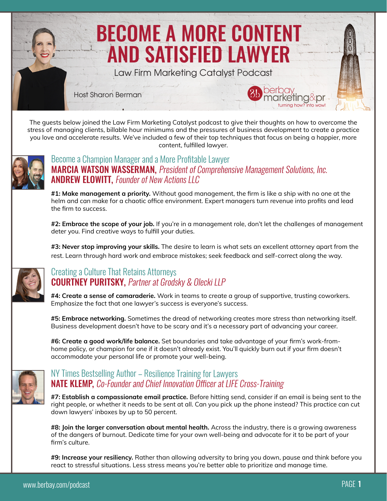

The guests below joined the Law Firm Marketing Catalyst podcast to give their thoughts on how to overcome the stress of managing clients, billable hour minimums and the pressures of business development to create a practice you love and accelerate results. We've included a few of their top techniques that focus on being a happier, more content, fulfilled lawyer.



#### MARCIA WATSON WASSERMAN, President of Comprehensive Management Solutions, Inc. Become a Champion Manager and a More Profitable Lawyer **ANDREW ELOWITT, Founder of New Actions LLC**

**#1: Make management a priority.** Without good management, the firm is like a ship with no one at the helm and can make for a chaotic office environment. Expert managers turn revenue into profits and lead the firm to success.

**#2: Embrace the scope of your job.** If you're in a management role, don't let the challenges of management deter you. Find creative ways to fulfill your duties.

**#3: Never stop improving your skills.** The desire to learn is what sets an excellent attorney apart from the rest. Learn through hard work and embrace mistakes; seek feedback and self-correct along the way.



### **COURTNEY PURITSKY, Partner at Grodsky & Olecki LLP** Creating a Culture That Retains Attorneys

**#4: Create a sense of camaraderie.** Work in teams to create a group of supportive, trusting coworkers. Emphasize the fact that one lawyer's success is everyone's success.

**#5: Embrace networking.** Sometimes the dread of networking creates more stress than networking itself. Business development doesn't have to be scary and it's a necessary part of advancing your career.

**#6: Create a good work/life balance.** Set boundaries and take advantage of your firm's work-fromhome policy, or champion for one if it doesn't already exist. You'll quickly burn out if your firm doesn't accommodate your personal life or promote your well-being.



## **NATE KLEMP, Co-Founder and Chief Innovation Officer at LIFE Cross-Training** NY Times Bestselling Author – Resilience Training for Lawyers

**#7: Establish a compassionate email practice.** Before hitting send, consider if an email is being sent to the right people, or whether it needs to be sent at all. Can you pick up the phone instead? This practice can cut down lawyers' inboxes by up to 50 percent.

**#8: Join the larger conversation about mental health.** Across the industry, there is a growing awareness of the dangers of burnout. Dedicate time for your own well-being and advocate for it to be part of your firm's culture.

**#9: Increase your resiliency.** Rather than allowing adversity to bring you down, pause and think before you react to stressful situations. Less stress means you're better able to prioritize and manage time.